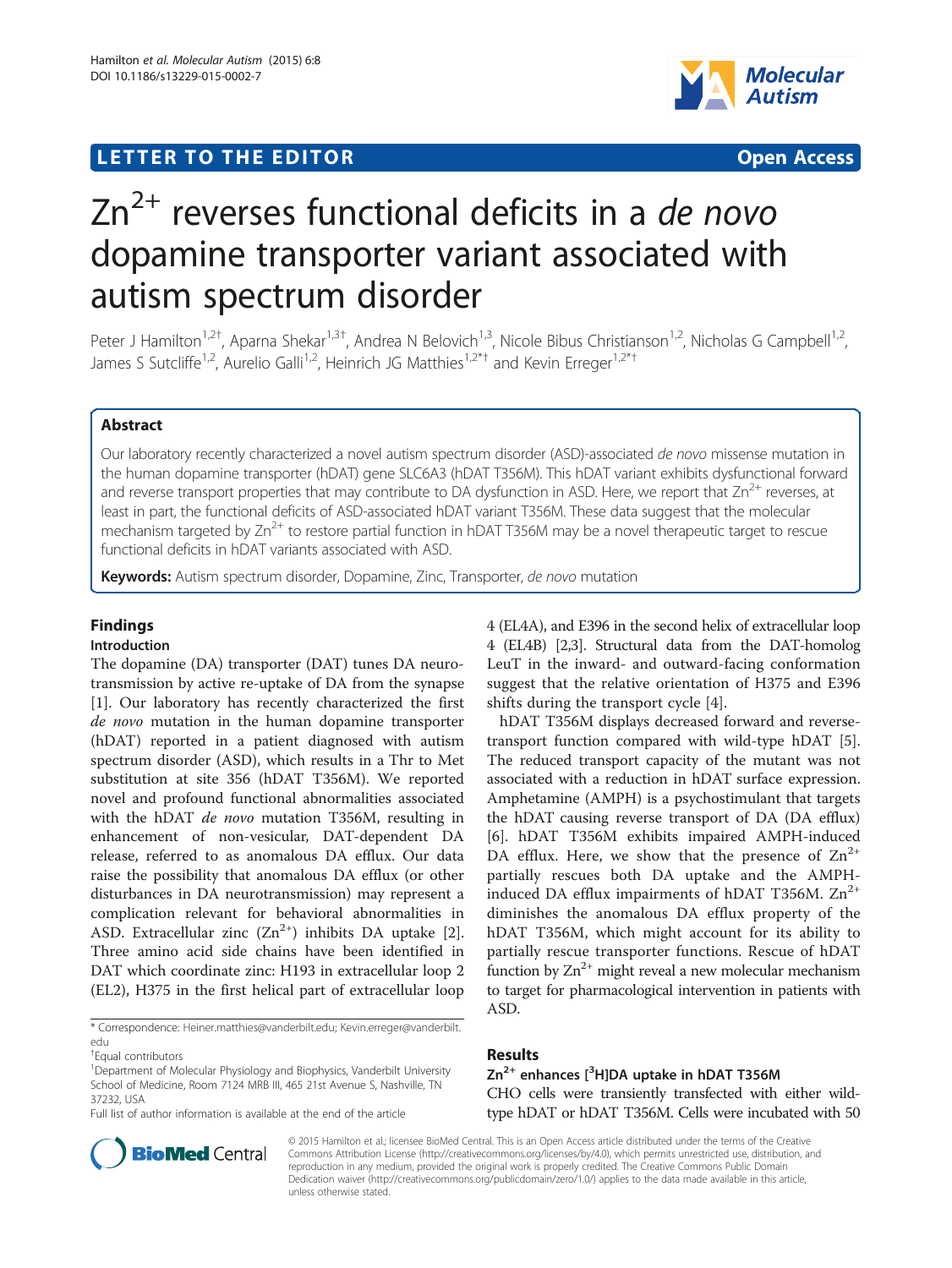# **LETTER TO THE EDITOR CONSIDERING ACCESS**



# $Zn^{2+}$  reverses functional deficits in a de novo dopamine transporter variant associated with autism spectrum disorder

Peter J Hamilton<sup>1,2†</sup>, Aparna Shekar<sup>1,3†</sup>, Andrea N Belovich<sup>1,3</sup>, Nicole Bibus Christianson<sup>1,2</sup>, Nicholas G Campbell<sup>1,2</sup>, James S Sutcliffe<sup>1,2</sup>, Aurelio Galli<sup>1,2</sup>, Heinrich JG Matthies<sup>1,2\*†</sup> and Kevin Erreger<sup>1,2\*†</sup>

# Abstract

Our laboratory recently characterized a novel autism spectrum disorder (ASD)-associated de novo missense mutation in the human dopamine transporter (hDAT) gene SLC6A3 (hDAT T356M). This hDAT variant exhibits dysfunctional forward and reverse transport properties that may contribute to DA dysfunction in ASD. Here, we report that  $Zn^{2+}$  reverses, at least in part, the functional deficits of ASD-associated hDAT variant T356M. These data suggest that the molecular mechanism targeted by  $Zn^{2+}$  to restore partial function in hDAT T356M may be a novel therapeutic target to rescue functional deficits in hDAT variants associated with ASD.

Keywords: Autism spectrum disorder, Dopamine, Zinc, Transporter, de novo mutation

# **Findings**

## Introduction

The dopamine (DA) transporter (DAT) tunes DA neurotransmission by active re-uptake of DA from the synapse [[1\]](#page-2-0). Our laboratory has recently characterized the first de novo mutation in the human dopamine transporter (hDAT) reported in a patient diagnosed with autism spectrum disorder (ASD), which results in a Thr to Met substitution at site 356 (hDAT T356M). We reported novel and profound functional abnormalities associated with the hDAT de novo mutation T356M, resulting in enhancement of non-vesicular, DAT-dependent DA release, referred to as anomalous DA efflux. Our data raise the possibility that anomalous DA efflux (or other disturbances in DA neurotransmission) may represent a complication relevant for behavioral abnormalities in ASD. Extracellular zinc  $(Zn^{2+})$  inhibits DA uptake [\[2](#page-2-0)]. Three amino acid side chains have been identified in DAT which coordinate zinc: H193 in extracellular loop 2 (EL2), H375 in the first helical part of extracellular loop

\* Correspondence: [Heiner.matthies@vanderbilt.edu;](mailto:Heiner.matthies@vanderbilt.edu) [Kevin.erreger@vanderbilt.](mailto:Kevin.erreger@vanderbilt.edu) [edu](mailto:Kevin.erreger@vanderbilt.edu)

Full list of author information is available at the end of the article

4 (EL4A), and E396 in the second helix of extracellular loop 4 (EL4B) [[2,3\]](#page-2-0). Structural data from the DAT-homolog LeuT in the inward- and outward-facing conformation suggest that the relative orientation of H375 and E396 shifts during the transport cycle [[4\]](#page-2-0).

hDAT T356M displays decreased forward and reversetransport function compared with wild-type hDAT [\[5](#page-2-0)]. The reduced transport capacity of the mutant was not associated with a reduction in hDAT surface expression. Amphetamine (AMPH) is a psychostimulant that targets the hDAT causing reverse transport of DA (DA efflux) [[6\]](#page-2-0). hDAT T356M exhibits impaired AMPH-induced DA efflux. Here, we show that the presence of  $\text{Zn}^{2+}$ partially rescues both DA uptake and the AMPHinduced DA efflux impairments of hDAT T356M.  $Zn^{2+}$ diminishes the anomalous DA efflux property of the hDAT T356M, which might account for its ability to partially rescue transporter functions. Rescue of hDAT function by  $\text{Zn}^{2+}$  might reveal a new molecular mechanism to target for pharmacological intervention in patients with ASD.

## Results

# Zn<sup>2+</sup> enhances [<sup>3</sup>H]DA uptake in hDAT T356M CHO cells were transiently transfected with either wildtype hDAT or hDAT T356M. Cells were incubated with 50



© 2015 Hamilton et al.; licensee BioMed Central. This is an Open Access article distributed under the terms of the Creative Commons Attribution License [\(http://creativecommons.org/licenses/by/4.0\)](http://creativecommons.org/licenses/by/4.0), which permits unrestricted use, distribution, and reproduction in any medium, provided the original work is properly credited. The Creative Commons Public Domain Dedication waiver [\(http://creativecommons.org/publicdomain/zero/1.0/](http://creativecommons.org/publicdomain/zero/1.0/)) applies to the data made available in this article, unless otherwise stated.

<sup>†</sup> Equal contributors

<sup>&</sup>lt;sup>1</sup>Department of Molecular Physiology and Biophysics, Vanderbilt University School of Medicine, Room 7124 MRB III, 465 21st Avenue S, Nashville, TN 37232, USA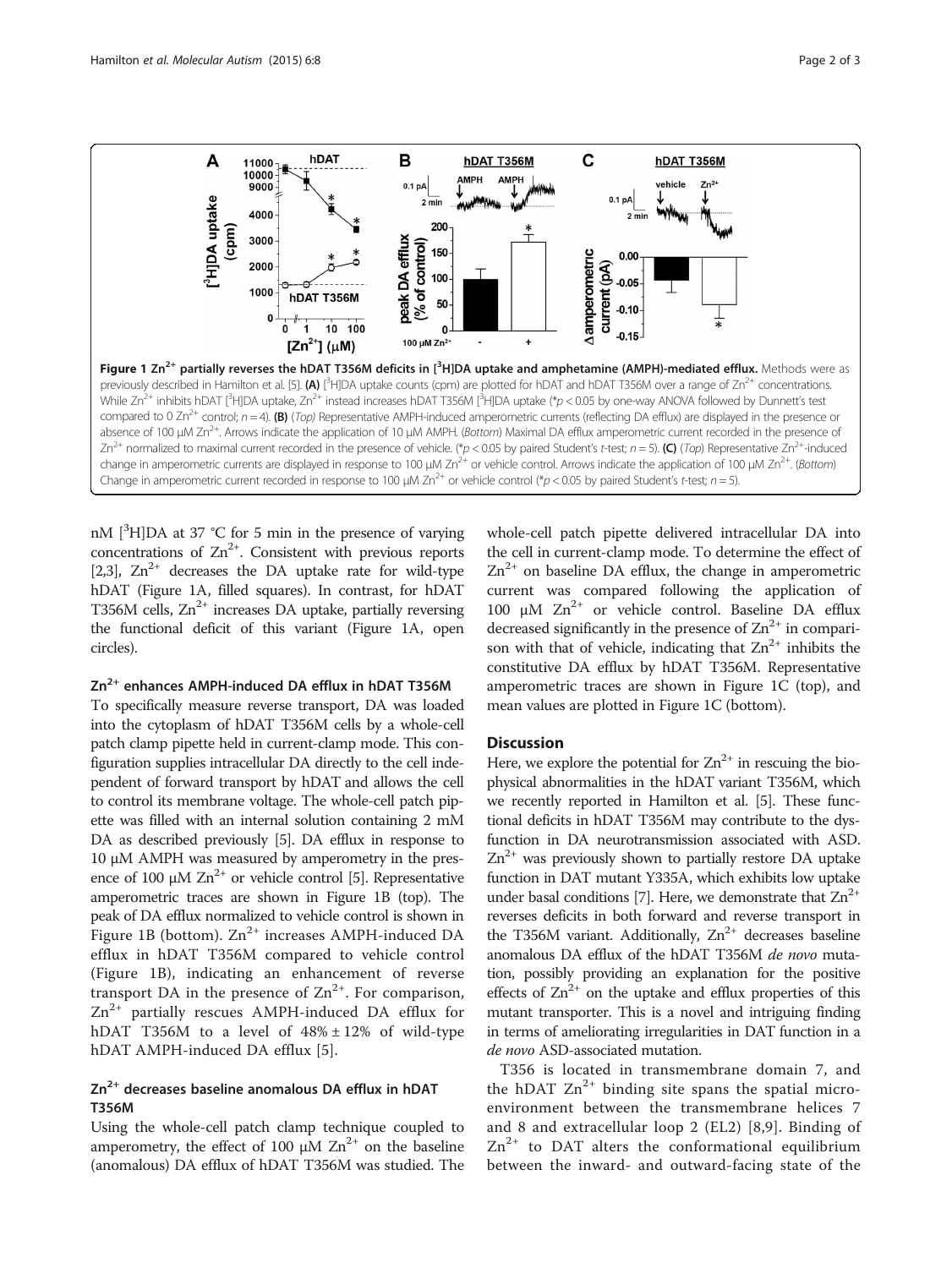<span id="page-1-0"></span>

nM [<sup>3</sup>H]DA at 37 °C for 5 min in the presence of varying concentrations of  $\text{Zn}^{2+}$ . Consistent with previous reports [[2,3](#page-2-0)],  $Zn^{2+}$  decreases the DA uptake rate for wild-type hDAT (Figure 1A, filled squares). In contrast, for hDAT T356M cells,  $Zn^{2+}$  increases DA uptake, partially reversing the functional deficit of this variant (Figure 1A, open circles).

# Zn<sup>2+</sup> enhances AMPH-induced DA efflux in hDAT T356M

To specifically measure reverse transport, DA was loaded into the cytoplasm of hDAT T356M cells by a whole-cell patch clamp pipette held in current-clamp mode. This configuration supplies intracellular DA directly to the cell independent of forward transport by hDAT and allows the cell to control its membrane voltage. The whole-cell patch pipette was filled with an internal solution containing 2 mM DA as described previously [[5](#page-2-0)]. DA efflux in response to 10 μM AMPH was measured by amperometry in the presence of 100  $\mu$ M Zn<sup>2+</sup> or vehicle control [[5](#page-2-0)]. Representative amperometric traces are shown in Figure 1B (top). The peak of DA efflux normalized to vehicle control is shown in Figure 1B (bottom).  $Zn^{2+}$  increases AMPH-induced DA efflux in hDAT T356M compared to vehicle control (Figure 1B), indicating an enhancement of reverse transport DA in the presence of  $\text{Zn}^{2+}$ . For comparison,  $Zn^{2+}$  partially rescues AMPH-induced DA efflux for hDAT T356M to a level of  $48\% \pm 12\%$  of wild-type hDAT AMPH-induced DA efflux [[5](#page-2-0)].

# $Zn^{2+}$  decreases baseline anomalous DA efflux in hDAT T356M

Using the whole-cell patch clamp technique coupled to amperometry, the effect of 100  $\mu$ M Zn<sup>2+</sup> on the baseline (anomalous) DA efflux of hDAT T356M was studied. The whole-cell patch pipette delivered intracellular DA into the cell in current-clamp mode. To determine the effect of  $Zn^{2+}$  on baseline DA efflux, the change in amperometric current was compared following the application of 100 μM  $Zn^{2+}$  or vehicle control. Baseline DA efflux decreased significantly in the presence of  $Zn^{2+}$  in comparison with that of vehicle, indicating that  $Zn^{2+}$  inhibits the constitutive DA efflux by hDAT T356M. Representative amperometric traces are shown in Figure 1C (top), and mean values are plotted in Figure 1C (bottom).

#### **Discussion**

Here, we explore the potential for  $Zn^{2+}$  in rescuing the biophysical abnormalities in the hDAT variant T356M, which we recently reported in Hamilton et al. [[5](#page-2-0)]. These functional deficits in hDAT T356M may contribute to the dysfunction in DA neurotransmission associated with ASD.  $Zn^{2+}$  was previously shown to partially restore DA uptake function in DAT mutant Y335A, which exhibits low uptake under basal conditions [[7](#page-2-0)]. Here, we demonstrate that  $Zn^{2+}$ reverses deficits in both forward and reverse transport in the T356M variant. Additionally,  $Zn^{2+}$  decreases baseline anomalous DA efflux of the hDAT T356M de novo mutation, possibly providing an explanation for the positive effects of  $\text{Zn}^{2+}$  on the uptake and efflux properties of this mutant transporter. This is a novel and intriguing finding in terms of ameliorating irregularities in DAT function in a de novo ASD-associated mutation.

T356 is located in transmembrane domain 7, and the hDAT  $Zn^{2+}$  binding site spans the spatial microenvironment between the transmembrane helices 7 and 8 and extracellular loop 2 (EL2) [\[8,9\]](#page-2-0). Binding of  $Zn^{2+}$  to DAT alters the conformational equilibrium between the inward- and outward-facing state of the